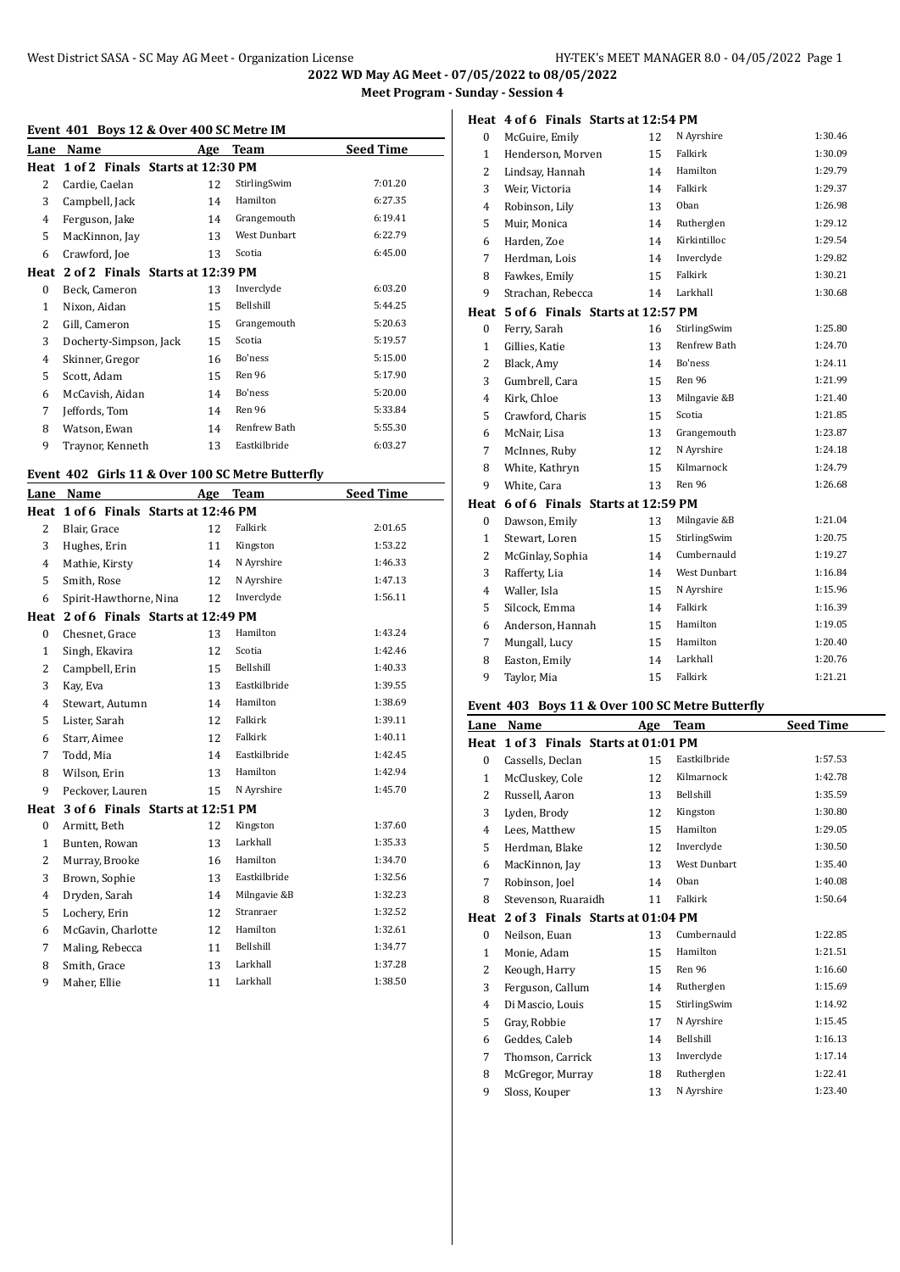**Heat 4 of 6 Finals Starts at 12:54 PM**

**2022 WD May AG Meet - 07/05/2022 to 08/05/2022 Meet Program - Sunday - Session 4**

# **Event 401 Boys 12 & Over 400 SC Metre IM**

|              | LVCIIt TOT DOYS IL & OVCI TOO SCIPICITC IPI<br>Name |     | <b>Team</b>  | <b>Seed Time</b> |
|--------------|-----------------------------------------------------|-----|--------------|------------------|
| Lane         |                                                     | Age |              |                  |
|              | Heat 1 of 2 Finals Starts at 12:30 PM               |     |              |                  |
| 2            | Cardie, Caelan                                      | 12  | StirlingSwim | 7:01.20          |
| 3            | Campbell, Jack                                      | 14  | Hamilton     | 6:27.35          |
| 4            | Ferguson, Jake                                      | 14  | Grangemouth  | 6:19.41          |
| 5            | MacKinnon, Jay                                      | 13  | West Dunbart | 6:22.79          |
| 6            | Crawford, Joe                                       | 13  | Scotia       | 6:45.00          |
|              | Heat 2 of 2 Finals Starts at 12:39 PM               |     |              |                  |
| 0            | Beck, Cameron                                       | 13  | Inverclyde   | 6:03.20          |
| $\mathbf{1}$ | Nixon, Aidan                                        | 15  | Bellshill    | 5:44.25          |
| 2            | Gill, Cameron                                       | 15  | Grangemouth  | 5:20.63          |
| 3            | Docherty-Simpson, Jack                              | 15  | Scotia       | 5:19.57          |
| 4            | Skinner, Gregor                                     | 16  | Bo'ness      | 5:15.00          |
| 5            | Scott, Adam                                         | 15  | Ren 96       | 5:17.90          |
| 6            | McCavish, Aidan                                     | 14  | Bo'ness      | 5:20.00          |
| 7            | Jeffords, Tom                                       | 14  | Ren 96       | 5:33.84          |
| 8            | Watson, Ewan                                        | 14  | Renfrew Bath | 5:55.30          |
| 9            | Traynor, Kenneth                                    | 13  | Eastkilbride | 6:03.27          |

### **Event 402 Girls 11 & Over 100 SC Metre Butterfly**

| Lane             | Name                             | Age | Team         | <b>Seed Time</b> |
|------------------|----------------------------------|-----|--------------|------------------|
| Heat             | 1 of 6 Finals Starts at 12:46 PM |     |              |                  |
| $\overline{2}$   | Blair, Grace                     | 12  | Falkirk      | 2:01.65          |
| 3                | Hughes, Erin                     | 11  | Kingston     | 1:53.22          |
| 4                | Mathie, Kirsty                   | 14  | N Ayrshire   | 1:46.33          |
| 5                | Smith, Rose                      | 12  | N Ayrshire   | 1:47.13          |
| 6                | Spirit-Hawthorne, Nina           | 12  | Inverclyde   | 1:56.11          |
| Heat             | 2 of 6 Finals Starts at 12:49 PM |     |              |                  |
| $\boldsymbol{0}$ | Chesnet, Grace                   | 13  | Hamilton     | 1:43.24          |
| $\mathbf{1}$     | Singh, Ekavira                   | 12  | Scotia       | 1:42.46          |
| $\overline{2}$   | Campbell, Erin                   | 15  | Bellshill    | 1:40.33          |
| 3                | Kay, Eva                         | 13  | Eastkilbride | 1:39.55          |
| 4                | Stewart, Autumn                  | 14  | Hamilton     | 1:38.69          |
| 5                | Lister, Sarah                    | 12  | Falkirk      | 1:39.11          |
| 6                | Starr, Aimee                     | 12  | Falkirk      | 1:40.11          |
| 7                | Todd, Mia                        | 14  | Eastkilbride | 1:42.45          |
| 8                | Wilson, Erin                     | 13  | Hamilton     | 1:42.94          |
| 9                | Peckover, Lauren                 | 15  | N Ayrshire   | 1:45.70          |
| Heat             | 3 of 6 Finals Starts at 12:51 PM |     |              |                  |
| $\bf{0}$         | Armitt, Beth                     | 12  | Kingston     | 1:37.60          |
| $\mathbf{1}$     | Bunten, Rowan                    | 13  | Larkhall     | 1:35.33          |
| 2                | Murray, Brooke                   | 16  | Hamilton     | 1:34.70          |
| 3                | Brown, Sophie                    | 13  | Eastkilbride | 1:32.56          |
| $\overline{4}$   | Dryden, Sarah                    | 14  | Milngavie &B | 1:32.23          |
| 5                | Lochery, Erin                    | 12  | Stranraer    | 1:32.52          |
| 6                | McGavin, Charlotte               | 12  | Hamilton     | 1:32.61          |
| 7                | Maling, Rebecca                  | 11  | Bellshill    | 1:34.77          |
| 8                | Smith, Grace                     | 13  | Larkhall     | 1:37.28          |
| 9                | Maher, Ellie                     | 11  | Larkhall     | 1:38.50          |
|                  |                                  |     |              |                  |

| 0              | McGuire, Emily                   | 12 | N Ayrshire          | 1:30.46 |
|----------------|----------------------------------|----|---------------------|---------|
| 1              | Henderson, Morven                | 15 | Falkirk             | 1:30.09 |
| 2              | Lindsay, Hannah                  | 14 | Hamilton            | 1:29.79 |
| 3              | Weir, Victoria                   | 14 | Falkirk             | 1:29.37 |
| $\overline{4}$ | Robinson, Lily                   | 13 | Oban                | 1:26.98 |
| 5              | Muir, Monica                     | 14 | Rutherglen          | 1:29.12 |
| 6              | Harden, Zoe                      | 14 | Kirkintilloc        | 1:29.54 |
| 7              | Herdman, Lois                    | 14 | Inverclyde          | 1:29.82 |
| 8              | Fawkes, Emily                    | 15 | Falkirk             | 1:30.21 |
| 9              | Strachan, Rebecca                | 14 | Larkhall            | 1:30.68 |
| Heat           | 5 of 6 Finals Starts at 12:57 PM |    |                     |         |
| $\mathbf{0}$   | Ferry, Sarah                     | 16 | StirlingSwim        | 1:25.80 |
| $\mathbf{1}$   | Gillies, Katie                   | 13 | Renfrew Bath        | 1:24.70 |
| 2              | Black, Amy                       | 14 | Bo'ness             | 1:24.11 |
| 3              | Gumbrell, Cara                   | 15 | Ren 96              | 1:21.99 |
| 4              | Kirk, Chloe                      | 13 | Milngavie &B        | 1:21.40 |
| 5              | Crawford, Charis                 | 15 | Scotia              | 1:21.85 |
| 6              | McNair, Lisa                     | 13 | Grangemouth         | 1:23.87 |
| 7              | McInnes, Ruby                    | 12 | N Ayrshire          | 1:24.18 |
| 8              | White, Kathryn                   | 15 | Kilmarnock          | 1:24.79 |
| 9              | White, Cara                      | 13 | Ren 96              | 1:26.68 |
| Heat           | 6 of 6 Finals Starts at 12:59 PM |    |                     |         |
| 0              | Dawson, Emily                    | 13 | Milngavie &B        | 1:21.04 |
| 1              | Stewart, Loren                   | 15 | StirlingSwim        | 1:20.75 |
| 2              | McGinlay, Sophia                 | 14 | Cumbernauld         | 1:19.27 |
| 3              | Rafferty, Lia                    | 14 | <b>West Dunbart</b> | 1:16.84 |
| 4              | Waller, Isla                     | 15 | N Ayrshire          | 1:15.96 |
| 5              | Silcock, Emma                    | 14 | Falkirk             | 1:16.39 |
| 6              | Anderson, Hannah                 | 15 | Hamilton            | 1:19.05 |
| 7              | Mungall, Lucy                    | 15 | Hamilton            | 1:20.40 |
| 8              | Easton, Emily                    | 14 | Larkhall            | 1:20.76 |
| 9              | Taylor, Mia                      | 15 | Falkirk             | 1:21.21 |
|                |                                  |    |                     |         |

# **Event 403 Boys 11 & Over 100 SC Metre Butterfly**

| Lane         | Name                             | Age | Team                | <b>Seed Time</b> |
|--------------|----------------------------------|-----|---------------------|------------------|
| Heat         | 1 of 3 Finals Starts at 01:01 PM |     |                     |                  |
| $\bf{0}$     | Cassells, Declan                 | 15  | Eastkilbride        | 1:57.53          |
| $\mathbf{1}$ | McCluskey, Cole                  | 12  | Kilmarnock          | 1:42.78          |
| 2            | Russell, Aaron                   | 13  | Bellshill           | 1:35.59          |
| 3            | Lyden, Brody                     | 12  | Kingston            | 1:30.80          |
| 4            | Lees, Matthew                    | 15  | Hamilton            | 1:29.05          |
| 5            | Herdman, Blake                   | 12  | Inverclyde          | 1:30.50          |
| 6            | MacKinnon, Jay                   | 13  | <b>West Dunbart</b> | 1:35.40          |
| 7            | Robinson, Joel                   | 14  | Oban                | 1:40.08          |
| 8            | Stevenson, Ruaraidh              | 11  | Falkirk             | 1:50.64          |
| Heat         | 2 of 3 Finals Starts at 01:04 PM |     |                     |                  |
| $\bf{0}$     | Neilson, Euan                    | 13  | Cumbernauld         | 1:22.85          |
| $\mathbf{1}$ | Monie, Adam                      | 15  | Hamilton            | 1:21.51          |
| 2            | Keough, Harry                    | 15  | Ren 96              | 1:16.60          |
| 3            | Ferguson, Callum                 | 14  | Rutherglen          | 1:15.69          |
| 4            | Di Mascio, Louis                 | 15  | StirlingSwim        | 1:14.92          |
| 5            | Gray, Robbie                     | 17  | N Ayrshire          | 1:15.45          |
| 6            | Geddes, Caleb                    | 14  | Bellshill           | 1:16.13          |
| 7            | Thomson, Carrick                 | 13  | Inverclyde          | 1:17.14          |
| 8            | McGregor, Murray                 | 18  | Rutherglen          | 1:22.41          |
| 9            | Sloss, Kouper                    | 13  | N Ayrshire          | 1:23.40          |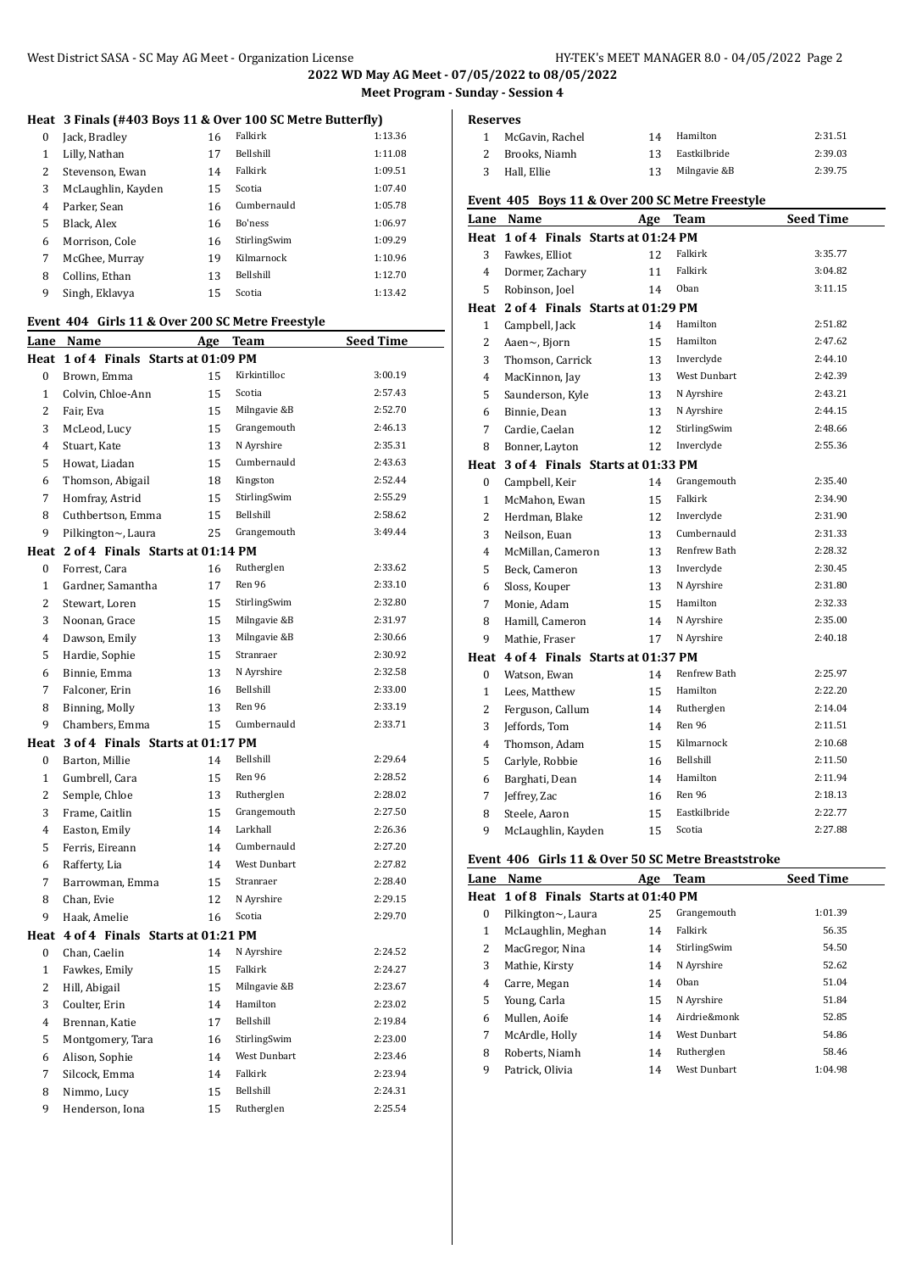**2022 WD May AG Meet - 07/05/2022 to 08/05/2022 Meet Program - Sunday - Session 4**

# **Heat 3 Finals (#403 Boys 11 & Over 100 SC Metre Butterfly)**

| $\Omega$ | Jack, Bradley      | 16 | Falkirk          | 1:13.36 |
|----------|--------------------|----|------------------|---------|
| 1        | Lilly, Nathan      | 17 | <b>Bellshill</b> | 1:11.08 |
| 2        | Stevenson, Ewan    | 14 | Falkirk          | 1:09.51 |
| 3        | McLaughlin, Kayden | 15 | Scotia           | 1:07.40 |
| 4        | Parker, Sean       | 16 | Cumbernauld      | 1:05.78 |
| 5        | Black, Alex        | 16 | Bo'ness          | 1:06.97 |
| 6        | Morrison. Cole     | 16 | StirlingSwim     | 1:09.29 |
| 7        | McGhee, Murrav     | 19 | Kilmarnock       | 1:10.96 |
| 8        | Collins, Ethan     | 13 | <b>Bellshill</b> | 1:12.70 |
| 9        | Singh, Eklavya     | 15 | Scotia           | 1:13.42 |

#### **Event 404 Girls 11 & Over 200 SC Metre Freestyle**

| Lane             | Name                                  | <u>Age</u> | Team         | <u>Seed Time</u> |
|------------------|---------------------------------------|------------|--------------|------------------|
| Heat             | 1 of 4 Finals Starts at 01:09 PM      |            |              |                  |
| $\mathbf{0}$     | Brown, Emma                           | 15         | Kirkintilloc | 3:00.19          |
| $\mathbf{1}$     | Colvin, Chloe-Ann                     | 15         | Scotia       | 2:57.43          |
| $\overline{2}$   | Fair, Eva                             | 15         | Milngavie &B | 2:52.70          |
| 3                | McLeod, Lucy                          | 15         | Grangemouth  | 2:46.13          |
| $\overline{4}$   | Stuart, Kate                          | 13         | N Ayrshire   | 2:35.31          |
| 5                | Howat, Liadan                         | 15         | Cumbernauld  | 2:43.63          |
| 6                | Thomson, Abigail                      | 18         | Kingston     | 2:52.44          |
| $\overline{7}$   | Homfray, Astrid                       | 15         | StirlingSwim | 2:55.29          |
| 8                | Cuthbertson, Emma                     | 15         | Bellshill    | 2:58.62          |
| 9                | Pilkington~, Laura                    | 25         | Grangemouth  | 3:49.44          |
|                  | Heat 2 of 4 Finals Starts at 01:14 PM |            |              |                  |
| 0                | Forrest, Cara                         | 16         | Rutherglen   | 2:33.62          |
| $\mathbf{1}$     | Gardner, Samantha                     | 17         | Ren 96       | 2:33.10          |
| $\overline{2}$   | Stewart, Loren                        | 15         | StirlingSwim | 2:32.80          |
| 3                | Noonan, Grace                         | 15         | Milngavie &B | 2:31.97          |
| 4                | Dawson, Emily                         | 13         | Milngavie &B | 2:30.66          |
| 5                | Hardie, Sophie                        | 15         | Stranraer    | 2:30.92          |
| 6                | Binnie, Emma                          | 13         | N Ayrshire   | 2:32.58          |
| 7                | Falconer, Erin                        | 16         | Bellshill    | 2:33.00          |
| 8                | Binning, Molly                        | 13         | Ren 96       | 2:33.19          |
| 9                | Chambers, Emma                        | 15         | Cumbernauld  | 2:33.71          |
| Heat             | 3 of 4 Finals Starts at 01:17 PM      |            |              |                  |
| $\mathbf{0}$     | Barton, Millie                        | 14         | Bellshill    | 2:29.64          |
| $\mathbf{1}$     | Gumbrell, Cara                        | 15         | Ren 96       | 2:28.52          |
| $\overline{2}$   | Semple, Chloe                         | 13         | Rutherglen   | 2:28.02          |
| 3                | Frame, Caitlin                        | 15         | Grangemouth  | 2:27.50          |
| $\overline{4}$   | Easton, Emily                         | 14         | Larkhall     | 2:26.36          |
| 5                | Ferris, Eireann                       | 14         | Cumbernauld  | 2:27.20          |
| 6                | Rafferty, Lia                         | 14         | West Dunbart | 2:27.82          |
| 7                | Barrowman, Emma                       | 15         | Stranraer    | 2:28.40          |
| 8                | Chan, Evie                            | 12         | N Ayrshire   | 2:29.15          |
| 9                | Haak, Amelie                          | 16         | Scotia       | 2:29.70          |
| Heat             | 4 of 4 Finals Starts at 01:21 PM      |            |              |                  |
| $\boldsymbol{0}$ | Chan, Caelin                          | 14         | N Ayrshire   | 2:24.52          |
| $\mathbf{1}$     | Fawkes, Emily                         | 15         | Falkirk      | 2:24.27          |
| $\overline{c}$   | Hill, Abigail                         | 15         | Milngavie &B | 2:23.67          |
| 3                | Coulter, Erin                         | 14         | Hamilton     | 2:23.02          |
| 4                | Brennan, Katie                        | 17         | Bellshill    | 2:19.84          |
| 5                | Montgomery, Tara                      | 16         | StirlingSwim | 2:23.00          |
| 6                | Alison, Sophie                        | 14         | West Dunbart | 2:23.46          |
| 7                | Silcock, Emma                         | 14         | Falkirk      | 2:23.94          |
| 8                | Nimmo, Lucy                           | 15         | Bellshill    | 2:24.31          |
| 9                | Henderson, Iona                       | 15         | Rutherglen   | 2:25.54          |

| <b>Reserves</b> |                     |                                                 |           |
|-----------------|---------------------|-------------------------------------------------|-----------|
| 1               | McGavin, Rachel     | Hamilton<br>14                                  | 2:31.51   |
| 2               | Brooks, Niamh       | Eastkilbride<br>13                              | 2:39.03   |
| 3               | Hall, Ellie         | Milngavie &B<br>13                              | 2:39.75   |
|                 |                     | Event 405 Boys 11 & Over 200 SC Metre Freestyle |           |
| Lane            | <b>Name</b>         | Age<br><b>Team</b>                              | Seed Time |
|                 |                     | Heat 1 of 4 Finals Starts at 01:24 PM           |           |
| 3               | Fawkes, Elliot      | Falkirk<br>12                                   | 3:35.77   |
| 4               | Dormer, Zachary     | Falkirk<br>11                                   | 3:04.82   |
| 5               | Robinson, Joel      | Oban<br>14                                      | 3:11.15   |
|                 |                     | Heat 2 of 4 Finals Starts at 01:29 PM           |           |
| 1               | Campbell, Jack      | Hamilton<br>14                                  | 2:51.82   |
| 2               | Aaen $\sim$ , Bjorn | Hamilton<br>15                                  | 2:47.62   |
|                 |                     |                                                 |           |

| 3              | Thomson, Carrick                 | 13 | Inverclyde          | 2:44.10 |
|----------------|----------------------------------|----|---------------------|---------|
| 4              | MacKinnon, Jay                   | 13 | <b>West Dunbart</b> | 2:42.39 |
| 5              | Saunderson, Kyle                 | 13 | N Ayrshire          | 2:43.21 |
| 6              | Binnie, Dean                     | 13 | N Ayrshire          | 2:44.15 |
| 7              | Cardie, Caelan                   | 12 | StirlingSwim        | 2:48.66 |
| 8              | Bonner, Layton                   | 12 | Inverclyde          | 2:55.36 |
| Heat           | 3 of 4 Finals Starts at 01:33 PM |    |                     |         |
| $\bf{0}$       | Campbell, Keir                   | 14 | Grangemouth         | 2:35.40 |
| 1              | McMahon, Ewan                    | 15 | Falkirk             | 2:34.90 |
| 2              | Herdman, Blake                   | 12 | Inverclyde          | 2:31.90 |
| 3              | Neilson, Euan                    | 13 | Cumbernauld         | 2:31.33 |
| 4              | McMillan, Cameron                | 13 | Renfrew Bath        | 2:28.32 |
| 5              | Beck, Cameron                    | 13 | Inverclyde          | 2:30.45 |
| 6              | Sloss, Kouper                    | 13 | N Ayrshire          | 2:31.80 |
| 7              | Monie, Adam                      | 15 | Hamilton            | 2:32.33 |
| 8              | Hamill, Cameron                  | 14 | N Ayrshire          | 2:35.00 |
| 9              | Mathie, Fraser                   | 17 | N Ayrshire          | 2:40.18 |
| Heat           | 4 of 4 Finals Starts at 01:37 PM |    |                     |         |
| $\bf{0}$       | Watson, Ewan                     | 14 | Renfrew Bath        | 2:25.97 |
| $\mathbf{1}$   | Lees, Matthew                    | 15 | Hamilton            | 2:22.20 |
| $\overline{2}$ | Ferguson, Callum                 | 14 | Rutherglen          | 2:14.04 |
| 3              | Jeffords, Tom                    | 14 | Ren 96              | 2:11.51 |
| 4              | Thomson, Adam                    | 15 | Kilmarnock          | 2:10.68 |
| 5              | Carlyle, Robbie                  | 16 | Bellshill           | 2:11.50 |
| 6              | Barghati, Dean                   | 14 | Hamilton            | 2:11.94 |
| 7              | Jeffrey, Zac                     | 16 | Ren 96              | 2:18.13 |
| 8              | Steele, Aaron                    | 15 | Eastkilbride        | 2:22.77 |
| 9              | McLaughlin, Kayden               | 15 | Scotia              | 2:27.88 |

# **Event 406 Girls 11 & Over 50 SC Metre Breaststroke**

| Lane     | Name                                  | Age | Team                | <b>Seed Time</b> |
|----------|---------------------------------------|-----|---------------------|------------------|
|          | Heat 1 of 8 Finals Starts at 01:40 PM |     |                     |                  |
| $\Omega$ | Pilkington $\sim$ , Laura             | 25  | Grangemouth         | 1:01.39          |
| 1        | McLaughlin, Meghan                    | 14  | Falkirk             | 56.35            |
| 2        | MacGregor, Nina                       | 14  | StirlingSwim        | 54.50            |
| 3        | Mathie, Kirsty                        | 14  | N Ayrshire          | 52.62            |
| 4        | Carre, Megan                          | 14  | Oban                | 51.04            |
| 5        | Young, Carla                          | 15  | N Ayrshire          | 51.84            |
| 6        | Mullen. Aoife                         | 14  | Airdrie&monk        | 52.85            |
| 7        | McArdle, Holly                        | 14  | West Dunbart        | 54.86            |
| 8        | Roberts, Niamh                        | 14  | Rutherglen          | 58.46            |
| 9        | Patrick, Olivia                       | 14  | <b>West Dunbart</b> | 1:04.98          |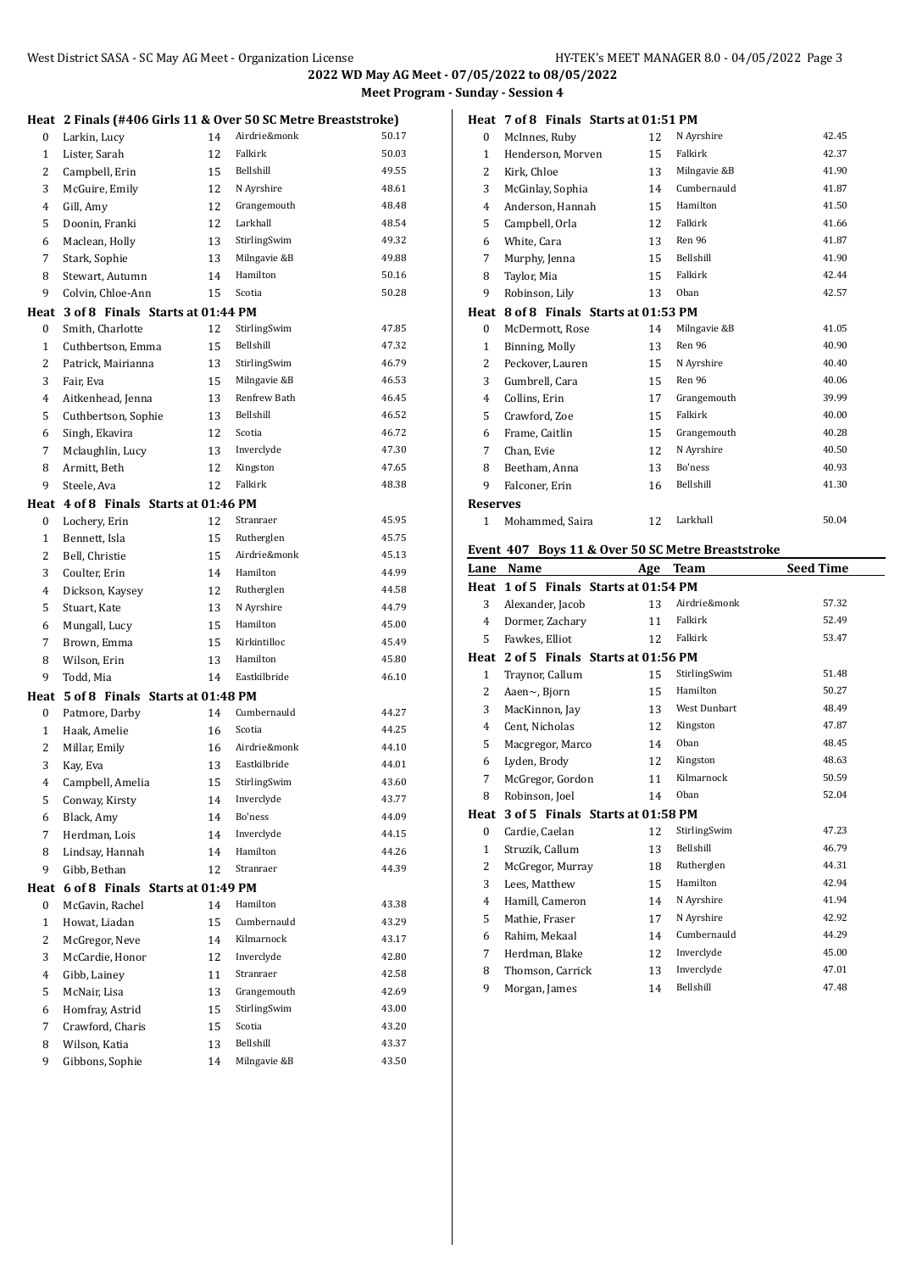**2022 WD May AG Meet - 07/05/2022 to 08/05/2022 Meet Program - Sunday - Session 4**

|                | Heat 2 Finals (#406 Girls 11 & Over 50 SC Metre Breaststroke) |    |              |       |
|----------------|---------------------------------------------------------------|----|--------------|-------|
| $\bf{0}$       | Larkin, Lucy                                                  | 14 | Airdrie&monk | 50.17 |
| 1              | Lister, Sarah                                                 | 12 | Falkirk      | 50.03 |
| $\overline{2}$ | Campbell, Erin                                                | 15 | Bellshill    | 49.55 |
| 3              | McGuire, Emily                                                | 12 | N Ayrshire   | 48.61 |
| 4              | Gill, Amy                                                     | 12 | Grangemouth  | 48.48 |
| 5              | Doonin, Franki                                                | 12 | Larkhall     | 48.54 |
| 6              | Maclean, Holly                                                | 13 | StirlingSwim | 49.32 |
| 7              | Stark, Sophie                                                 | 13 | Milngavie &B | 49.88 |
| 8              | Stewart, Autumn                                               | 14 | Hamilton     | 50.16 |
| 9              | Colvin, Chloe-Ann                                             | 15 | Scotia       | 50.28 |
|                | Heat 3 of 8 Finals Starts at 01:44 PM                         |    |              |       |
| 0              | Smith, Charlotte                                              | 12 | StirlingSwim | 47.85 |
| $\mathbf{1}$   | Cuthbertson, Emma                                             | 15 | Bellshill    | 47.32 |
| $\overline{2}$ | Patrick, Mairianna                                            | 13 | StirlingSwim | 46.79 |
| 3              | Fair, Eva                                                     | 15 | Milngavie &B | 46.53 |
| $\overline{4}$ | Aitkenhead, Jenna                                             | 13 | Renfrew Bath | 46.45 |
| 5              | Cuthbertson, Sophie                                           | 13 | Bellshill    | 46.52 |
| 6              | Singh, Ekavira                                                | 12 | Scotia       | 46.72 |
| 7              | Mclaughlin, Lucy                                              | 13 | Inverclyde   | 47.30 |
| 8              | Armitt, Beth                                                  | 12 | Kingston     | 47.65 |
| 9              | Steele, Ava                                                   | 12 | Falkirk      | 48.38 |
|                | Heat 4 of 8 Finals Starts at 01:46 PM                         |    |              |       |
| 0              | Lochery, Erin                                                 | 12 | Stranraer    | 45.95 |
| $\mathbf{1}$   | Bennett, Isla                                                 | 15 | Rutherglen   | 45.75 |
| 2              | Bell, Christie                                                | 15 | Airdrie&monk | 45.13 |
| 3              | Coulter, Erin                                                 | 14 | Hamilton     | 44.99 |
| 4              | Dickson, Kaysey                                               | 12 | Rutherglen   | 44.58 |
| 5              | Stuart, Kate                                                  | 13 | N Ayrshire   | 44.79 |
| 6              | Mungall, Lucy                                                 | 15 | Hamilton     | 45.00 |
| 7              | Brown, Emma                                                   | 15 | Kirkintilloc | 45.49 |
| 8              | Wilson, Erin                                                  | 13 | Hamilton     | 45.80 |
| 9              | Todd, Mia                                                     | 14 | Eastkilbride | 46.10 |
|                | Heat 5 of 8 Finals Starts at 01:48 PM                         |    |              |       |
| $\mathbf{0}$   | Patmore, Darby                                                | 14 | Cumbernauld  | 44.27 |
| $\mathbf{1}$   | Haak, Amelie                                                  | 16 | Scotia       | 44.25 |
| $\overline{2}$ | Millar, Emily                                                 | 16 | Airdrie&monk | 44.10 |
| 3              | Kay, Eva                                                      | 13 | Eastkilbride | 44.01 |
| $\overline{4}$ | Campbell, Amelia                                              | 15 | StirlingSwim | 43.60 |
| 5              | Conway, Kirsty                                                | 14 | Inverclyde   | 43.77 |
| 6              | Black, Amy                                                    | 14 | Bo'ness      | 44.09 |
| 7              | Herdman, Lois                                                 | 14 | Inverclyde   | 44.15 |
| 8              | Lindsay, Hannah                                               | 14 | Hamilton     | 44.26 |
| 9              | Gibb, Bethan                                                  | 12 | Stranraer    | 44.39 |
| Heat           | 6 of 8 Finals Starts at 01:49 PM                              |    |              |       |
| 0              | McGavin, Rachel                                               | 14 | Hamilton     | 43.38 |
| $\mathbf{1}$   | Howat, Liadan                                                 | 15 | Cumbernauld  | 43.29 |
| $\overline{c}$ | McGregor, Neve                                                | 14 | Kilmarnock   | 43.17 |
| 3              | McCardie, Honor                                               | 12 | Inverclyde   | 42.80 |
| 4              | Gibb, Lainey                                                  | 11 | Stranraer    | 42.58 |
| 5              | McNair, Lisa                                                  | 13 | Grangemouth  | 42.69 |
| 6              | Homfray, Astrid                                               | 15 | StirlingSwim | 43.00 |
| 7              | Crawford, Charis                                              | 15 | Scotia       | 43.20 |
| 8              | Wilson, Katia                                                 | 13 | Bellshill    | 43.37 |
| 9              | Gibbons, Sophie                                               | 14 | Milngavie &B | 43.50 |
|                |                                                               |    |              |       |

|                     | Heat 7 of 8 Finals Starts at 01:51 PM             |          |                        |                  |
|---------------------|---------------------------------------------------|----------|------------------------|------------------|
| $\bf{0}$            | McInnes, Ruby                                     | 12       | N Ayrshire             | 42.45            |
| $\mathbf{1}$        | Henderson, Morven                                 | 15       | Falkirk                | 42.37            |
| $\overline{2}$      | Kirk, Chloe                                       | 13       | Milngavie &B           | 41.90            |
| 3                   | McGinlay, Sophia                                  | 14       | Cumbernauld            | 41.87            |
| $\overline{4}$      | Anderson, Hannah                                  | 15       | Hamilton               | 41.50            |
| 5                   | Campbell, Orla                                    | 12       | Falkirk                | 41.66            |
| 6                   | White, Cara                                       | 13       | Ren 96                 | 41.87            |
| $\overline{7}$      | Murphy, Jenna                                     | 15       | Bellshill              | 41.90            |
| 8                   | Taylor, Mia                                       | 15       | Falkirk                | 42.44            |
| 9                   | Robinson, Lily                                    | 13       | Oban                   | 42.57            |
| Heat                | 8 of 8 Finals Starts at 01:53 PM                  |          |                        |                  |
| $\bf{0}$            | McDermott, Rose                                   | 14       | Milngavie &B           | 41.05            |
| $\mathbf{1}$        | Binning, Molly                                    | 13       | Ren 96                 | 40.90            |
| 2                   | Peckover, Lauren                                  | 15       | N Ayrshire             | 40.40            |
| 3                   | Gumbrell, Cara                                    | 15       | Ren 96                 | 40.06            |
| $\overline{4}$      | Collins, Erin                                     | 17       | Grangemouth            | 39.99            |
| 5                   | Crawford, Zoe                                     | 15       | Falkirk                | 40.00            |
| 6                   | Frame, Caitlin                                    | 15       | Grangemouth            | 40.28            |
| $\overline{7}$      | Chan, Evie                                        | 12       | N Ayrshire             | 40.50            |
| 8                   | Beetham, Anna                                     | 13       | Bo'ness                | 40.93            |
| 9                   | Falconer, Erin                                    | 16       | Bellshill              | 41.30            |
| <b>Reserves</b>     |                                                   |          |                        |                  |
|                     |                                                   |          |                        |                  |
| 1                   | Mohammed, Saira                                   | 12       | Larkhall               | 50.04            |
|                     |                                                   |          |                        |                  |
|                     | Event 407 Boys 11 & Over 50 SC Metre Breaststroke |          |                        |                  |
|                     | Lane Name                                         | Age      | <b>Team</b>            | <b>Seed Time</b> |
|                     | Heat 1 of 5 Finals Starts at 01:54 PM             |          |                        |                  |
| 3                   | Alexander, Jacob                                  | 13       | Airdrie&monk           | 57.32            |
| $\overline{4}$      | Dormer, Zachary                                   | 11       | Falkirk                | 52.49            |
| 5                   | Fawkes. Elliot                                    | 12       | Falkirk                | 53.47            |
|                     | Heat 2 of 5 Finals Starts at 01:56 PM             |          |                        |                  |
| $\mathbf{1}$        | Traynor, Callum                                   | 15       | StirlingSwim           | 51.48            |
| 2                   | Aaen~, Bjorn                                      | 15       | Hamilton               | 50.27            |
| 3                   | MacKinnon, Jay                                    | 13       | West Dunbart           | 48.49            |
| 4                   | Cent, Nicholas                                    | 12       | Kingston               | 47.87            |
| 5                   | Macgregor, Marco                                  | 14       | Oban                   | 48.45            |
| 6                   | Lyden, Brody                                      | 12       | Kingston               | 48.63            |
| 7                   | McGregor, Gordon                                  | 11       | Kilmarnock             | 50.59            |
| 8                   | Robinson, Joel                                    | 14       | Oban                   | 52.04            |
| Heat                | 3 of 5 Finals Starts at 01:58 PM                  |          |                        |                  |
| $\bf{0}$            | Cardie, Caelan                                    | 12       | StirlingSwim           | 47.23            |
| $\mathbf{1}$        | Struzik, Callum                                   | 13       | Bellshill              | 46.79            |
| $\overline{2}$<br>3 | McGregor, Murray<br>Lees, Matthew                 | 18<br>15 | Rutherglen<br>Hamilton | 44.31<br>42.94   |

4 Hamill, Cameron 14 N Ayrshire 41.94 5 Mathie, Fraser 17 N Ayrshire 42.92 Rahim, Mekaal 14 Cumbernauld 44.29 7 Herdman, Blake 12 Inverclyde 45.00 8 Thomson, Carrick 13 Inverclyde 47.01 9 Morgan, James 14 Bellshill 47.48